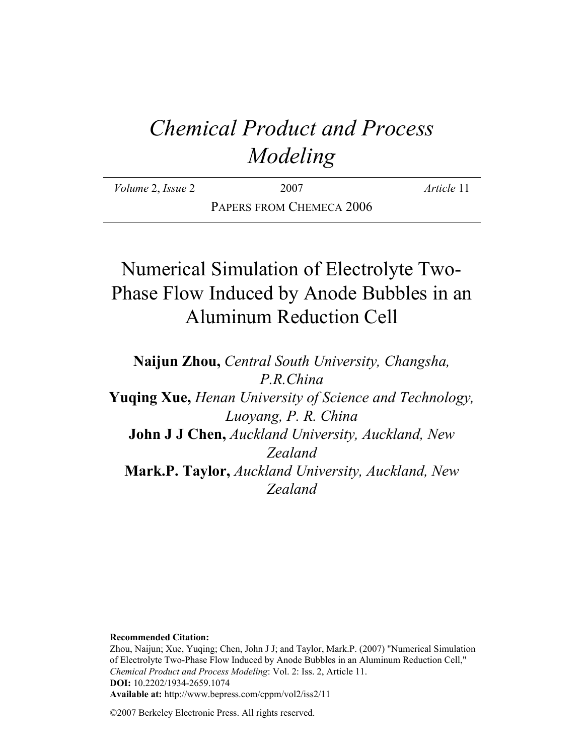# *Chemical Product and Process Modeling*

| <i>Volume 2, Issue 2</i> | 2007                     | <i>Article</i> 11 |
|--------------------------|--------------------------|-------------------|
|                          | PAPERS FROM CHEMECA 2006 |                   |

# Numerical Simulation of Electrolyte Two-Phase Flow Induced by Anode Bubbles in an Aluminum Reduction Cell

**Naijun Zhou,** *Central South University, Changsha, P.R.China* **Yuqing Xue,** *Henan University of Science and Technology, Luoyang, P. R. China* **John J J Chen,** *Auckland University, Auckland, New Zealand* **Mark.P. Taylor,** *Auckland University, Auckland, New Zealand*

**Recommended Citation:**

Zhou, Naijun; Xue, Yuqing; Chen, John J J; and Taylor, Mark.P. (2007) "Numerical Simulation of Electrolyte Two-Phase Flow Induced by Anode Bubbles in an Aluminum Reduction Cell," *Chemical Product and Process Modeling*: Vol. 2: Iss. 2, Article 11. **DOI:** 10.2202/1934-2659.1074 **Available at:** http://www.bepress.com/cppm/vol2/iss2/11

©2007 Berkeley Electronic Press. All rights reserved.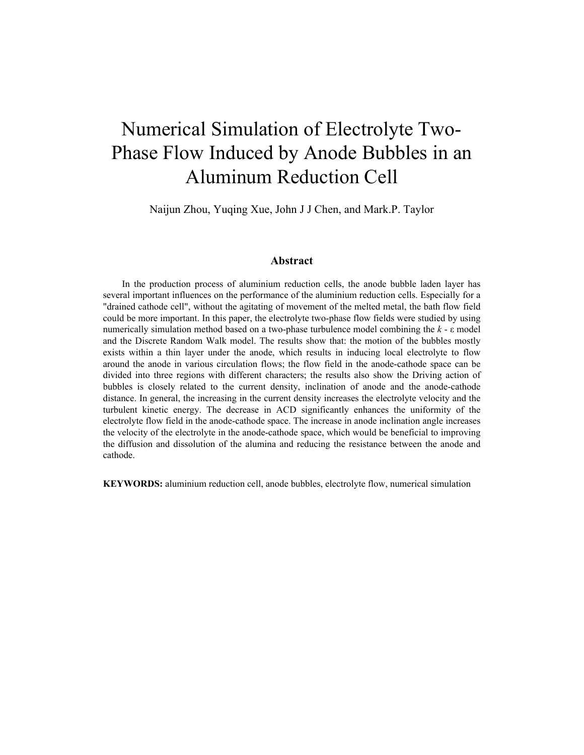# Numerical Simulation of Electrolyte Two-Phase Flow Induced by Anode Bubbles in an Aluminum Reduction Cell

Naijun Zhou, Yuqing Xue, John J J Chen, and Mark.P. Taylor

#### **Abstract**

In the production process of aluminium reduction cells, the anode bubble laden layer has several important influences on the performance of the aluminium reduction cells. Especially for a "drained cathode cell", without the agitating of movement of the melted metal, the bath flow field could be more important. In this paper, the electrolyte two-phase flow fields were studied by using numerically simulation method based on a two-phase turbulence model combining the *k* - ε model and the Discrete Random Walk model. The results show that: the motion of the bubbles mostly exists within a thin layer under the anode, which results in inducing local electrolyte to flow around the anode in various circulation flows; the flow field in the anode-cathode space can be divided into three regions with different characters; the results also show the Driving action of bubbles is closely related to the current density, inclination of anode and the anode-cathode distance. In general, the increasing in the current density increases the electrolyte velocity and the turbulent kinetic energy. The decrease in ACD significantly enhances the uniformity of the electrolyte flow field in the anode-cathode space. The increase in anode inclination angle increases the velocity of the electrolyte in the anode-cathode space, which would be beneficial to improving the diffusion and dissolution of the alumina and reducing the resistance between the anode and cathode.

**KEYWORDS:** aluminium reduction cell, anode bubbles, electrolyte flow, numerical simulation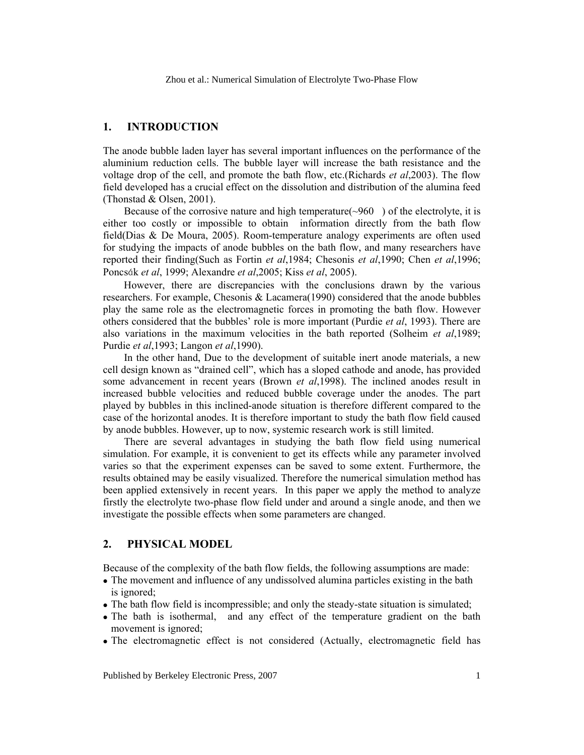### **1. INTRODUCTION**

The anode bubble laden layer has several important influences on the performance of the aluminium reduction cells. The bubble layer will increase the bath resistance and the voltage drop of the cell, and promote the bath flow, etc.(Richards *et al*,2003). The flow field developed has a crucial effect on the dissolution and distribution of the alumina feed (Thonstad & Olsen, 2001).

Because of the corrosive nature and high temperature( $\sim$ 960) of the electrolyte, it is either too costly or impossible to obtain information directly from the bath flow field(Dias & De Moura, 2005). Room-temperature analogy experiments are often used for studying the impacts of anode bubbles on the bath flow, and many researchers have reported their finding(Such as Fortin *et al*,1984; Chesonis *et al*,1990; Chen *et al*,1996; Poncsák *et al*, 1999; Alexandre *et al*,2005; Kiss *et al*, 2005).

However, there are discrepancies with the conclusions drawn by the various researchers. For example, Chesonis & Lacamera(1990) considered that the anode bubbles play the same role as the electromagnetic forces in promoting the bath flow. However others considered that the bubbles' role is more important (Purdie *et al*, 1993). There are also variations in the maximum velocities in the bath reported (Solheim *et al*,1989; Purdie *et al*,1993; Langon *et al*,1990).

In the other hand, Due to the development of suitable inert anode materials, a new cell design known as "drained cell", which has a sloped cathode and anode, has provided some advancement in recent years (Brown *et al*,1998). The inclined anodes result in increased bubble velocities and reduced bubble coverage under the anodes. The part played by bubbles in this inclined-anode situation is therefore different compared to the case of the horizontal anodes. It is therefore important to study the bath flow field caused by anode bubbles. However, up to now, systemic research work is still limited.

There are several advantages in studying the bath flow field using numerical simulation. For example, it is convenient to get its effects while any parameter involved varies so that the experiment expenses can be saved to some extent. Furthermore, the results obtained may be easily visualized. Therefore the numerical simulation method has been applied extensively in recent years. In this paper we apply the method to analyze firstly the electrolyte two-phase flow field under and around a single anode, and then we investigate the possible effects when some parameters are changed.

#### **2. PHYSICAL MODEL**

Because of the complexity of the bath flow fields, the following assumptions are made:

- The movement and influence of any undissolved alumina particles existing in the bath is ignored;
- The bath flow field is incompressible; and only the steady-state situation is simulated;
- The bath is isothermal, and any effect of the temperature gradient on the bath movement is ignored;
- The electromagnetic effect is not considered (Actually, electromagnetic field has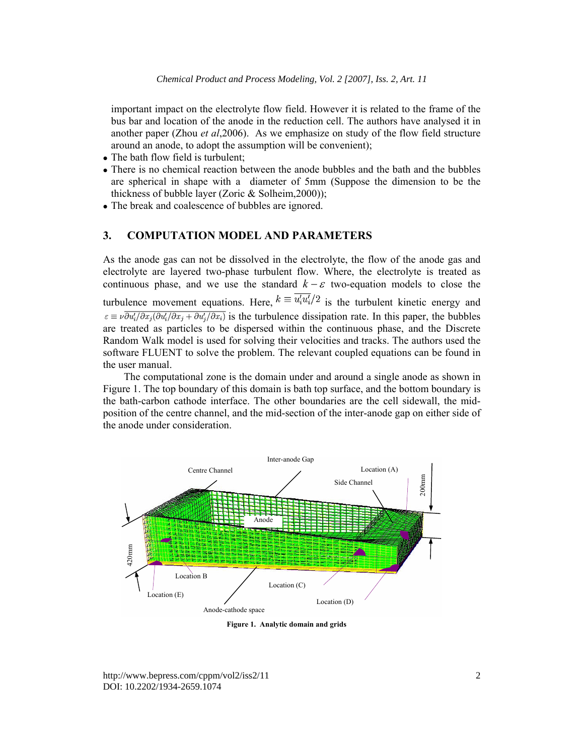important impact on the electrolyte flow field. However it is related to the frame of the bus bar and location of the anode in the reduction cell. The authors have analysed it in another paper (Zhou *et al*,2006). As we emphasize on study of the flow field structure around an anode, to adopt the assumption will be convenient);

- The bath flow field is turbulent;
- There is no chemical reaction between the anode bubbles and the bath and the bubbles are spherical in shape with a diameter of 5mm (Suppose the dimension to be the thickness of bubble layer (Zoric & Solheim,2000));
- The break and coalescence of bubbles are ignored.

# **3. COMPUTATION MODEL AND PARAMETERS**

As the anode gas can not be dissolved in the electrolyte, the flow of the anode gas and electrolyte are layered two-phase turbulent flow. Where, the electrolyte is treated as continuous phase, and we use the standard  $k - \varepsilon$  two-equation models to close the turbulence movement equations. Here,  $k \equiv \overline{u'_i u'_i}/2$  is the turbulent kinetic energy and  $\epsilon \equiv \nu \overline{\partial u'_i/\partial x_j/\partial u'_i/\partial x_j + \partial u'_j/\partial x_i}$  is the turbulence dissipation rate. In this paper, the bubbles are treated as particles to be dispersed within the continuous phase, and the Discrete Random Walk model is used for solving their velocities and tracks. The authors used the software FLUENT to solve the problem. The relevant coupled equations can be found in the user manual.

The computational zone is the domain under and around a single anode as shown in Figure 1. The top boundary of this domain is bath top surface, and the bottom boundary is the bath-carbon cathode interface. The other boundaries are the cell sidewall, the midposition of the centre channel, and the mid-section of the inter-anode gap on either side of the anode under consideration.



**Figure 1. Analytic domain and grids** 

http://www.bepress.com/cppm/vol2/iss2/11 DOI: 10.2202/1934-2659.1074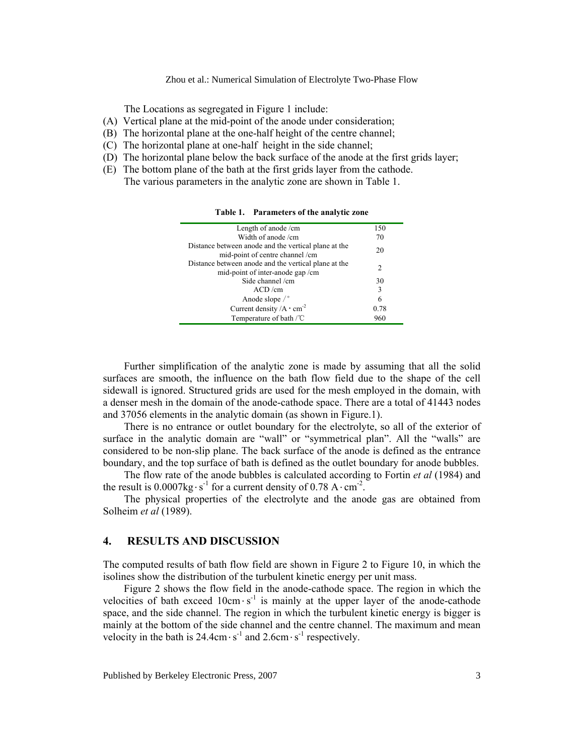#### Zhou et al.: Numerical Simulation of Electrolyte Two-Phase Flow

The Locations as segregated in Figure 1 include:

- (A) Vertical plane at the mid-point of the anode under consideration;
- (B) The horizontal plane at the one-half height of the centre channel;
- (C) The horizontal plane at one-half height in the side channel;
- (D) The horizontal plane below the back surface of the anode at the first grids layer;
- (E) The bottom plane of the bath at the first grids layer from the cathode. The various parameters in the analytic zone are shown in Table 1.

| Length of anode /cm                                                                      | 150  |
|------------------------------------------------------------------------------------------|------|
| Width of anode/cm                                                                        | 70   |
| Distance between anode and the vertical plane at the<br>mid-point of centre channel /cm  | 20   |
| Distance between anode and the vertical plane at the<br>mid-point of inter-anode gap /cm | 2    |
| Side channel /cm                                                                         | 30   |
| ACD/cm                                                                                   | 3    |
| Anode slope $\sqrt{\ }$                                                                  | 6    |
| Current density $/A \cdot cm^{-2}$                                                       | 0.78 |
| Temperature of bath /°C                                                                  | 960  |

**Table 1. Parameters of the analytic zone** 

Further simplification of the analytic zone is made by assuming that all the solid surfaces are smooth, the influence on the bath flow field due to the shape of the cell sidewall is ignored. Structured grids are used for the mesh employed in the domain, with a denser mesh in the domain of the anode-cathode space. There are a total of 41443 nodes and 37056 elements in the analytic domain (as shown in Figure.1).

There is no entrance or outlet boundary for the electrolyte, so all of the exterior of surface in the analytic domain are "wall" or "symmetrical plan". All the "walls" are considered to be non-slip plane. The back surface of the anode is defined as the entrance boundary, and the top surface of bath is defined as the outlet boundary for anode bubbles.

The flow rate of the anode bubbles is calculated according to Fortin *et al* (1984) and the result is  $0.0007 \text{kg} \cdot \text{s}^{-1}$  for a current density of  $0.78 \text{ A} \cdot \text{cm}^{-2}$ .

The physical properties of the electrolyte and the anode gas are obtained from Solheim *et al* (1989).

#### **4. RESULTS AND DISCUSSION**

The computed results of bath flow field are shown in Figure 2 to Figure 10, in which the isolines show the distribution of the turbulent kinetic energy per unit mass.

Figure 2 shows the flow field in the anode-cathode space. The region in which the velocities of bath exceed  $10 \text{cm} \cdot \text{s}^{-1}$  is mainly at the upper layer of the anode-cathode space, and the side channel. The region in which the turbulent kinetic energy is bigger is mainly at the bottom of the side channel and the centre channel. The maximum and mean velocity in the bath is  $24.4 \text{cm} \cdot \text{s}^{-1}$  and  $2.6 \text{cm} \cdot \text{s}^{-1}$  respectively.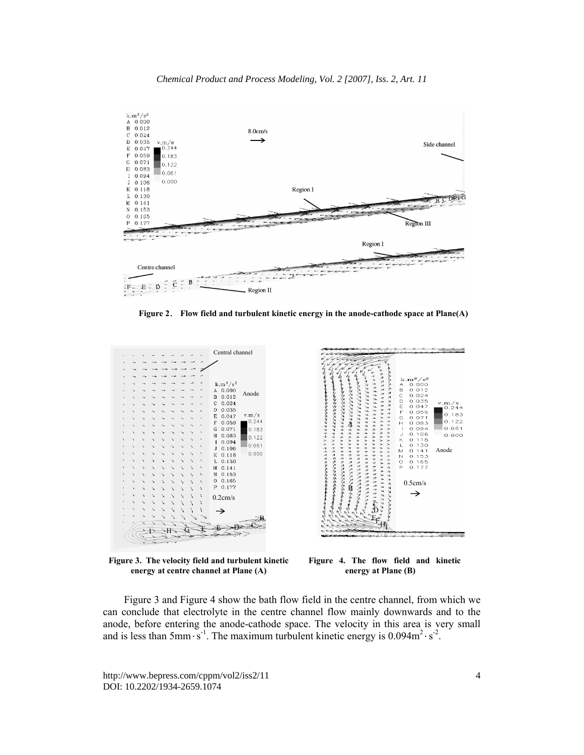



**Figure 2**. **Flow field and turbulent kinetic energy in the anode-cathode space at Plane(A)** 



**Figure 3. The velocity field and turbulent kinetic energy at centre channel at Plane (A)** 



**Figure 4. The flow field and kinetic energy at Plane (B)** 

Figure 3 and Figure 4 show the bath flow field in the centre channel, from which we can conclude that electrolyte in the centre channel flow mainly downwards and to the anode, before entering the anode-cathode space. The velocity in this area is very small and is less than  $5 \text{mm·s}^{-1}$ . The maximum turbulent kinetic energy is  $0.094 \text{m}^2 \cdot \text{s}^{-2}$ .

http://www.bepress.com/cppm/vol2/iss2/11 DOI: 10.2202/1934-2659.1074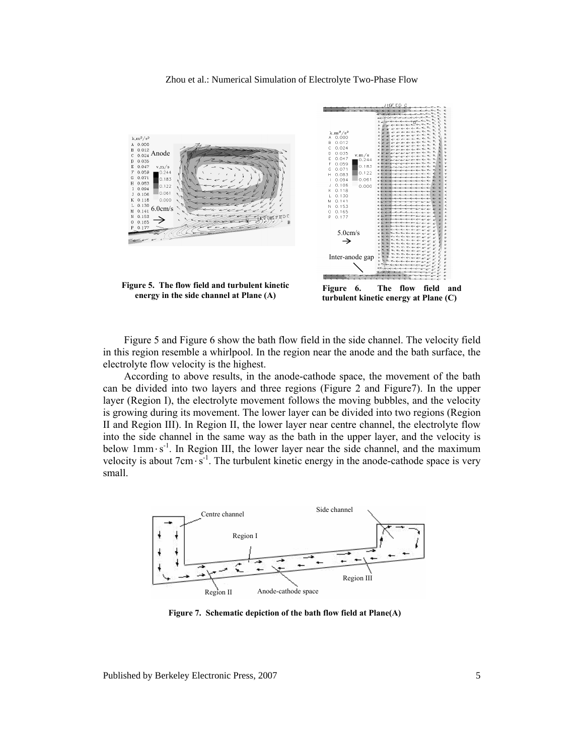



**Figure 5. The flow field and turbulent kinetic energy in the side channel at Plane (A)** 

**Figure 6. The flow field and turbulent kinetic energy at Plane (C)** 

Figure 5 and Figure 6 show the bath flow field in the side channel. The velocity field in this region resemble a whirlpool. In the region near the anode and the bath surface, the electrolyte flow velocity is the highest.

According to above results, in the anode-cathode space, the movement of the bath can be divided into two layers and three regions (Figure 2 and Figure7). In the upper layer (Region I), the electrolyte movement follows the moving bubbles, and the velocity is growing during its movement. The lower layer can be divided into two regions (Region II and Region III). In Region II, the lower layer near centre channel, the electrolyte flow into the side channel in the same way as the bath in the upper layer, and the velocity is below  $1mm·s<sup>-1</sup>$ . In Region III, the lower layer near the side channel, and the maximum velocity is about  $7 \text{cm} \cdot \text{s}^{-1}$ . The turbulent kinetic energy in the anode-cathode space is very small.



**Figure 7. Schematic depiction of the bath flow field at Plane(A)**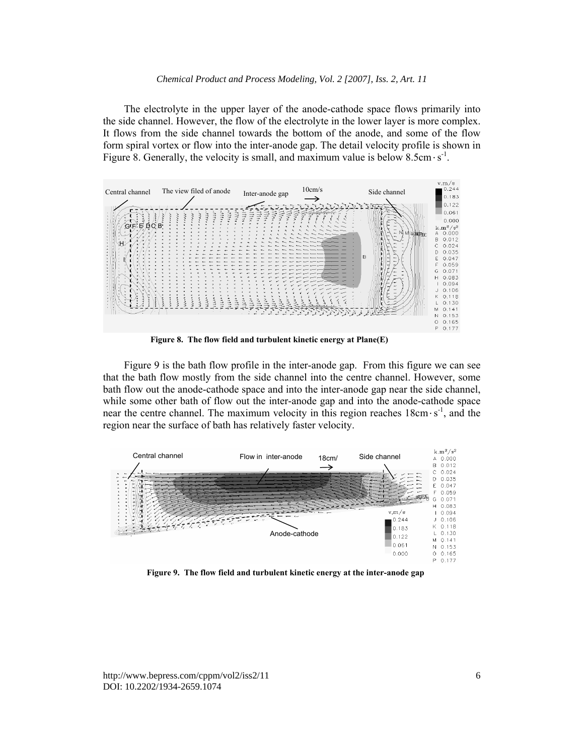The electrolyte in the upper layer of the anode-cathode space flows primarily into the side channel. However, the flow of the electrolyte in the lower layer is more complex. It flows from the side channel towards the bottom of the anode, and some of the flow form spiral vortex or flow into the inter-anode gap. The detail velocity profile is shown in Figure 8. Generally, the velocity is small, and maximum value is below  $8.5 \text{cm} \cdot \text{s}^{-1}$ .



**Figure 8. The flow field and turbulent kinetic energy at Plane(E)**

Figure 9 is the bath flow profile in the inter-anode gap. From this figure we can see that the bath flow mostly from the side channel into the centre channel. However, some bath flow out the anode-cathode space and into the inter-anode gap near the side channel, while some other bath of flow out the inter-anode gap and into the anode-cathode space near the centre channel. The maximum velocity in this region reaches  $18 \text{cm} \cdot \text{s}^{-1}$ , and the region near the surface of bath has relatively faster velocity.



**Figure 9. The flow field and turbulent kinetic energy at the inter-anode gap**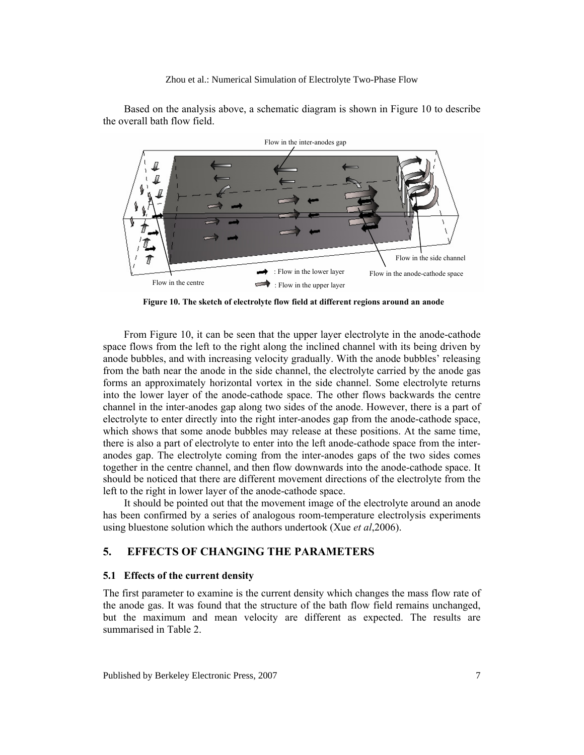

Based on the analysis above, a schematic diagram is shown in Figure 10 to describe the overall bath flow field.

**Figure 10. The sketch of electrolyte flow field at different regions around an anode**

From Figure 10, it can be seen that the upper layer electrolyte in the anode-cathode space flows from the left to the right along the inclined channel with its being driven by anode bubbles, and with increasing velocity gradually. With the anode bubbles' releasing from the bath near the anode in the side channel, the electrolyte carried by the anode gas forms an approximately horizontal vortex in the side channel. Some electrolyte returns into the lower layer of the anode-cathode space. The other flows backwards the centre channel in the inter-anodes gap along two sides of the anode. However, there is a part of electrolyte to enter directly into the right inter-anodes gap from the anode-cathode space, which shows that some anode bubbles may release at these positions. At the same time, there is also a part of electrolyte to enter into the left anode-cathode space from the interanodes gap. The electrolyte coming from the inter-anodes gaps of the two sides comes together in the centre channel, and then flow downwards into the anode-cathode space. It should be noticed that there are different movement directions of the electrolyte from the left to the right in lower layer of the anode-cathode space.

It should be pointed out that the movement image of the electrolyte around an anode has been confirmed by a series of analogous room-temperature electrolysis experiments using bluestone solution which the authors undertook (Xue *et al*,2006).

#### **5. EFFECTS OF CHANGING THE PARAMETERS**

#### **5.1 Effects of the current density**

The first parameter to examine is the current density which changes the mass flow rate of the anode gas. It was found that the structure of the bath flow field remains unchanged, but the maximum and mean velocity are different as expected. The results are summarised in Table 2.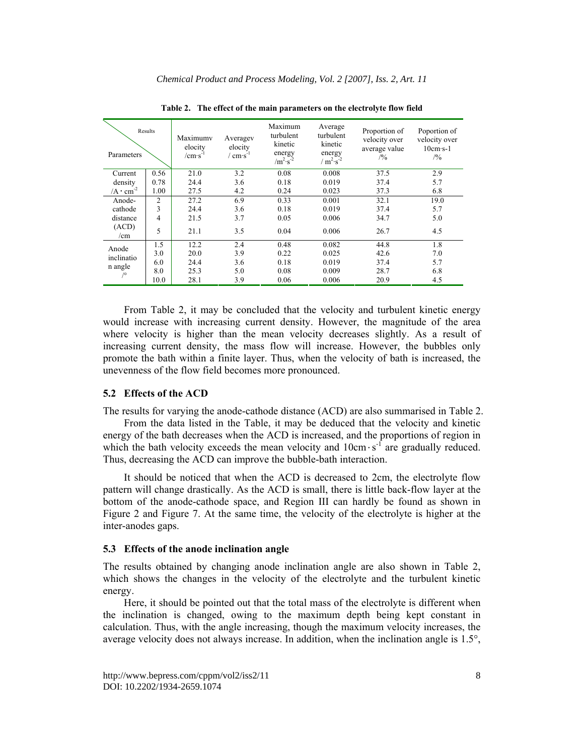| Parameters                           | Results        | Maximumv<br>elocity<br>$/cm·s^{-1}$ | Averagev<br>elocity<br>$\sigma$ cm·s <sup>-1</sup> | Maximum<br>turbulent<br>kinetic<br>energy<br>$/m^2 \cdot s^{-2}$ | Average<br>turbulent<br>kinetic<br>energy<br>$/m^{2} \cdot s^{-2}$ | Proportion of<br>velocity over<br>average value<br>/9/0 | Poportion of<br>velocity over<br>$10cm·s-1$<br>/9/0 |
|--------------------------------------|----------------|-------------------------------------|----------------------------------------------------|------------------------------------------------------------------|--------------------------------------------------------------------|---------------------------------------------------------|-----------------------------------------------------|
| Current                              | 0.56           | 21.0                                | 3.2                                                | 0.08                                                             | 0.008                                                              | 37.5                                                    | 2.9                                                 |
| density                              | 0.78           | 24.4                                | 3.6                                                | 0.18                                                             | 0.019                                                              | 37.4                                                    | 5.7                                                 |
| /A $\cdot$ cm <sup>-2</sup>          | 1.00           | 27.5                                | 4.2                                                | 0.24                                                             | 0.023                                                              | 37.3                                                    | 6.8                                                 |
| Anode-<br>cathode                    | $\overline{c}$ | 27.2                                | 6.9                                                | 0.33                                                             | 0.001                                                              | 32.1                                                    | 19.0                                                |
|                                      | 3              | 24.4                                | 3.6                                                | 0.18                                                             | 0.019                                                              | 37.4                                                    | 5.7                                                 |
| distance                             | 4              | 21.5                                | 3.7                                                | 0.05                                                             | 0.006                                                              | 34.7                                                    | 5.0                                                 |
| (ACD)<br>/cm                         | 5              | 21.1                                | 3.5                                                | 0.04                                                             | 0.006                                                              | 26.7                                                    | 4.5                                                 |
| Anode<br>inclinatio<br>n angle<br>/° | 1.5            | 12.2                                | 2.4                                                | 0.48                                                             | 0.082                                                              | 44.8                                                    | 1.8                                                 |
|                                      | 3.0            | 20.0                                | 3.9                                                | 0.22                                                             | 0.025                                                              | 42.6                                                    | 7.0                                                 |
|                                      | 6.0            | 24.4                                | 3.6                                                | 0.18                                                             | 0.019                                                              | 37.4                                                    | 5.7                                                 |
|                                      | 8.0            | 25.3                                | 5.0                                                | 0.08                                                             | 0.009                                                              | 28.7                                                    | 6.8                                                 |
|                                      | 10.0           | 28.1                                | 3.9                                                | 0.06                                                             | 0.006                                                              | 20.9                                                    | 4.5                                                 |

**Table 2. The effect of the main parameters on the electrolyte flow field** 

From Table 2, it may be concluded that the velocity and turbulent kinetic energy would increase with increasing current density. However, the magnitude of the area where velocity is higher than the mean velocity decreases slightly. As a result of increasing current density, the mass flow will increase. However, the bubbles only promote the bath within a finite layer. Thus, when the velocity of bath is increased, the unevenness of the flow field becomes more pronounced.

#### **5.2 Effects of the ACD**

The results for varying the anode-cathode distance (ACD) are also summarised in Table 2.

From the data listed in the Table, it may be deduced that the velocity and kinetic energy of the bath decreases when the ACD is increased, and the proportions of region in which the bath velocity exceeds the mean velocity and  $10 \text{cm} \cdot \text{s}^{-1}$  are gradually reduced. Thus, decreasing the ACD can improve the bubble-bath interaction.

It should be noticed that when the ACD is decreased to 2cm, the electrolyte flow pattern will change drastically. As the ACD is small, there is little back-flow layer at the bottom of the anode-cathode space, and Region III can hardly be found as shown in Figure 2 and Figure 7. At the same time, the velocity of the electrolyte is higher at the inter-anodes gaps.

#### **5.3 Effects of the anode inclination angle**

The results obtained by changing anode inclination angle are also shown in Table 2, which shows the changes in the velocity of the electrolyte and the turbulent kinetic energy.

Here, it should be pointed out that the total mass of the electrolyte is different when the inclination is changed, owing to the maximum depth being kept constant in calculation. Thus, with the angle increasing, though the maximum velocity increases, the average velocity does not always increase. In addition, when the inclination angle is  $1.5^{\circ}$ ,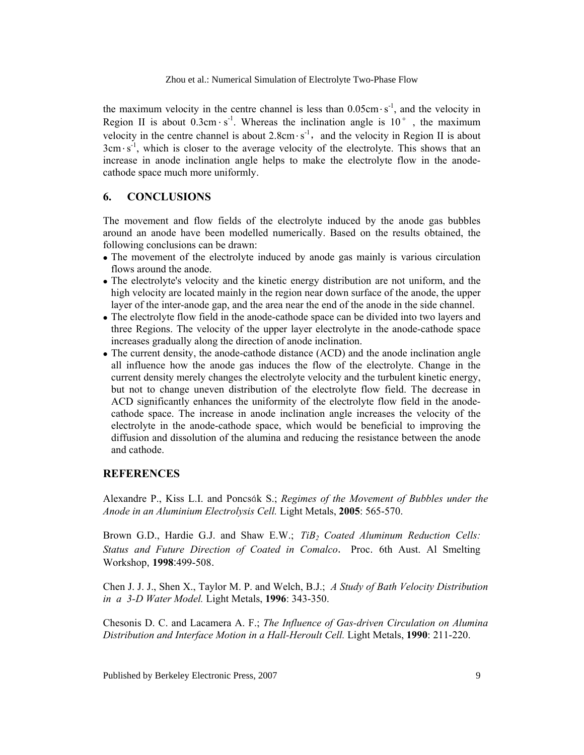the maximum velocity in the centre channel is less than  $0.05cm·s<sup>-1</sup>$ , and the velocity in Region II is about  $0.3 \text{cm} \cdot \text{s}^{-1}$ . Whereas the inclination angle is  $10^{\circ}$ , the maximum velocity in the centre channel is about  $2.8 \text{cm} \cdot \text{s}^{-1}$ , and the velocity in Region II is about  $3cm·s<sup>-1</sup>$ , which is closer to the average velocity of the electrolyte. This shows that an increase in anode inclination angle helps to make the electrolyte flow in the anodecathode space much more uniformly.

## **6. CONCLUSIONS**

The movement and flow fields of the electrolyte induced by the anode gas bubbles around an anode have been modelled numerically. Based on the results obtained, the following conclusions can be drawn:

- The movement of the electrolyte induced by anode gas mainly is various circulation flows around the anode.
- The electrolyte's velocity and the kinetic energy distribution are not uniform, and the high velocity are located mainly in the region near down surface of the anode, the upper layer of the inter-anode gap, and the area near the end of the anode in the side channel.
- The electrolyte flow field in the anode-cathode space can be divided into two layers and three Regions. The velocity of the upper layer electrolyte in the anode-cathode space increases gradually along the direction of anode inclination.
- The current density, the anode-cathode distance (ACD) and the anode inclination angle all influence how the anode gas induces the flow of the electrolyte. Change in the current density merely changes the electrolyte velocity and the turbulent kinetic energy, but not to change uneven distribution of the electrolyte flow field. The decrease in ACD significantly enhances the uniformity of the electrolyte flow field in the anodecathode space. The increase in anode inclination angle increases the velocity of the electrolyte in the anode-cathode space, which would be beneficial to improving the diffusion and dissolution of the alumina and reducing the resistance between the anode and cathode.

### **REFERENCES**

Alexandre P., Kiss L.I. and Poncsák S.; *Regimes of the Movement of Bubbles under the Anode in an Aluminium Electrolysis Cell.* Light Metals, **2005**: 565-570.

Brown G.D., Hardie G.J. and Shaw E.W.; *TiB<sub>2</sub> Coated Aluminum Reduction Cells: Status and Future Direction of Coated in Comalco*. Proc. 6th Aust. Al Smelting Workshop, **1998**:499-508.

Chen J. J. J., Shen X., Taylor M. P. and Welch, B.J.; *A Study of Bath Velocity Distribution in a 3-D Water Model.* Light Metals, **1996**: 343-350.

Chesonis D. C. and Lacamera A. F.; *The Influence of Gas-driven Circulation on Alumina Distribution and Interface Motion in a Hall-Heroult Cell.* Light Metals, **1990**: 211-220.